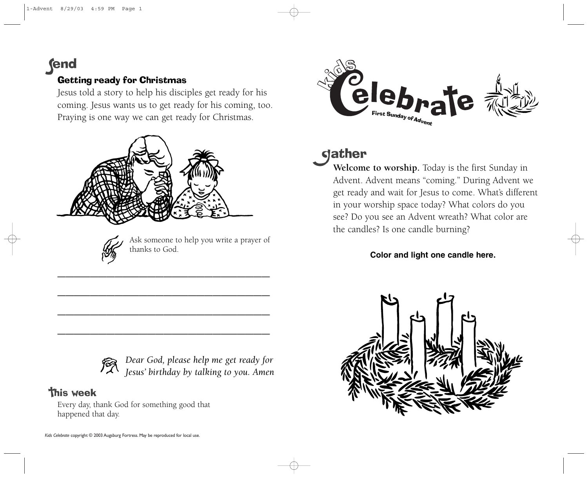# **fend**

## Getting ready for Christmas

Jesus told a story to help his disciples get ready for his coming. Jesus wants us to get ready for his coming, too. Praying is one way we can get ready for Christmas.



——————————————————————————

——————————————————————————

——————————————————————————

——————————————————————————



Ask someone to help you write a prayer of thanks to God.



## **This week**

Every day, thank God for something good that happened that day.



# dather

**Welcome to worship.** Today is the first Sunday in Advent. Advent means "coming." During Advent we get ready and wait for Jesus to come. What's different in your worship space today? What colors do you see? Do you see an Advent wreath? What color are the candles? Is one candle burning?

### **Color and light one candle here.**